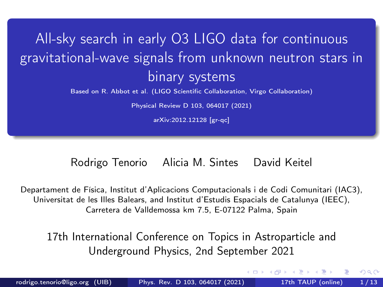# <span id="page-0-0"></span>All-sky search in early O3 LIGO data for continuous gravitational-wave signals from unknown neutron stars in binary systems

[Based on R. Abbot et al. \(LIGO Scientific Collaboration, Virgo Collaboration\)](https://arxiv.org/abs/2012.12128)

[Physical Review D 103, 064017 \(2021\)](https://arxiv.org/abs/2012.12128)

[arXiv:2012.12128 \[gr-qc\]](https://arxiv.org/abs/2012.12128)

#### Rodrigo Tenorio Alicia M. Sintes David Keitel

Departament de Física, Institut d'Aplicacions Computacionals i de Codi Comunitari (IAC3), Universitat de les Illes Balears, and Institut d'Estudis Espacials de Catalunya (IEEC), Carretera de Valldemossa km 7.5, E-07122 Palma, Spain

17th International Conference on Topics in Astroparticle and Underground Physics, 2nd September 2021

4 **E** F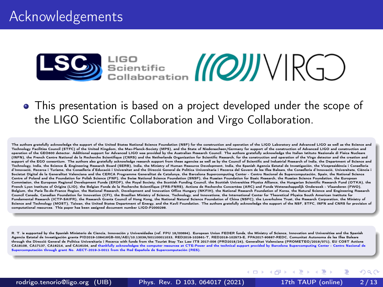

• This presentation is based on a project developed under the scope of the LIGO Scientific Collaboration and Virgo Collaboration.

The authors gratefully acknowledge the support of the United States National Science Foundation (NSF) for the construction and operation of the LIGO Laboratory and Advanced LIGO as well as the Science and Technology Facilities Council (STFC) of the United Kingdom, the Max-Planck-Society (MPS), and the State of Niedersachsen/Germany for support of the construction of Advanced LIGO and construction and operation of the GEO600 detector. Additional support for Advanced LIGO was provided by the Australian Research Council. The authors gratefully acknowledge the Italian Istituto Nazionale di Fisica Nucleare (INFN), the French Centre National de la Recherche Scientifique (CNRS) and the Netherlands Organization for Scientific Research, for the construction and operation of the Virgo detector and the creation and the Creation an support of the EGO consortium. The authors also gratefully acknowledge research support from these agencies as well as by the Council of Scientific and Industrial Research of India, the Department of Science and Technology, India, the Science & Engineering Research Board (SERB), India, the Ministry of Human Resource Development, India, the Spanish Agencia Estatal de Investigación, the Vicepresidència i Conselleria d'Innovació, Recerca i Turisme, the Conselleria d'Educació i Universitat and the Direcció General de Política Universitaria i Recerca del Govern de les Illes Balears, the Conselleria d'Innovació, Universitats, Ciència i Societat Digital de la Generalitat Valenciana and the CERCA Programme Generalitat de Catalunya, the Barcelona Supercomputing Center - Centro Nacional de Supercomputación, Spain, the National Science Centre of Poland and the Foundation for Polish Science (FNP), the Swiss National Science Foundation (SNSF), the Russian Foundation for Basic Research, the Russian Science Foundation, the European Commission, the European Regional Development Funds (ERDF), the Royal Society, the Scottish Funding Council, the Scottish Universities Physics Alliance, the Hungarian Scientific Research Fund (OTKA), the French Lyon Institute of Origins (LIO), the Belgian Fonds de la Recherche Scientifique (FRS-FNRS), Actions de Recherche Concertées (ARC) and Fonds Wetenschappelijk Onderzoek - Vlaanderen (FWO), Belgium, the Paris Île-de-France Region, the National Research, Development and Innovation Office Hungary (NKFIH), the National Research Foundation of Korea, the Natural Science and Engineering Research Council Canada, Canadian Foundation for Innovation (CFI), the Brazilian Ministry of Science, Technology, and Innovations, the International Center for Theoretical Physics South American Institute for Fundamental Research (ICTP-SAIFR), the Research Grants Council of Hong Kong, the National Natural Science Foundation of China (NSFC), the Leverhulme Trust, the Research Corporation, the Ministry of Science and Technology (MOST). Taiwan, the United States Department of Energy, and the Kavli Foundation. The authors gratefully acknowledge the support of the NSF, STFC, INFN and CNRS for provision of computational resources. This paper has been assigned document number LIGO-P2000298.

R. T. is supported by the Spanish Ministerio de Ciencia, Innovación y Universidades (ref. FPU 18/00694). European Union FEDER funds, the Ministry of Science, Innovation and Universities and the Spanish Agencia Estatal de Investigación grants PID2019-106416GB-I00/AEI/10.13039/501100011033, RED2018-102661-T, RED2018-102573-E, FPA2017-90687-REDC, Comunitat Autonoma de les Illes Balears through the Direcció General de Política Universitaria i Recerca with funds from the Tourist Stay Tax Law ITS 2017-006 (PRD2018/24), Generalitat Valenciana (PROMETEO/2019/071), EU COST Actions CA18108, CA17137, CA16214, and CA16104, and thankfully acknowledges the computer resources at CTE-Power and the technical support provided by Barcelona Supercomputing Center - Centro Nacional de Supercomputación through grant No. AECT-2019-3-0011 from the Red Española de Supercomputación (RES).

rodrigo.tenorio@ligo.org (UIB) [Phys. Rev. D 103, 064017 \(2021\)](#page-0-0) 17th TAUP (online) 2 / 13

 $\Omega$ 

**K ロ ト K 何 ト K ヨ ト K**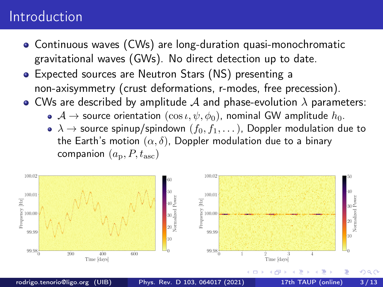### Introduction

- Continuous waves (CWs) are long-duration quasi-monochromatic gravitational waves (GWs). No direct detection up to date.
- Expected sources are Neutron Stars (NS) presenting a non-axisymmetry (crust deformations, r-modes, free precession).
- CWs are described by amplitude  $A$  and phase-evolution  $\lambda$  parameters:
	- $\bullet \: \mathcal{A} \to$  source orientation  $(\cos \iota, \psi, \phi_0)$ , nominal GW amplitude  $h_0$ .
	- $\lambda \to$  source spinup/spindown  $(f_0, f_1, \dots)$ , Doppler modulation due to the Earth's motion  $(\alpha, \delta)$ , Doppler modulation due to a binary companion  $(a_{\rm p}, P, t_{\rm asc})$

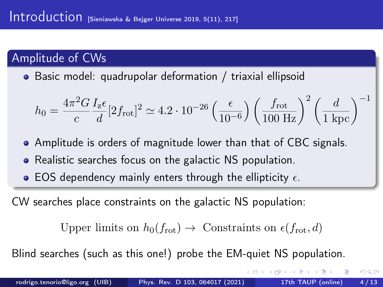### Amplitude of CWs

Basic model: quadrupolar deformation / triaxial ellipsoid

$$
h_0 = \frac{4\pi^2 G}{c} \frac{I_z \epsilon}{d} [2f_{\text{rot}}]^2 \simeq 4.2 \cdot 10^{-26} \left(\frac{\epsilon}{10^{-6}}\right) \left(\frac{f_{\text{rot}}}{100 \text{ Hz}}\right)^2 \left(\frac{d}{1 \text{ kpc}}\right)^{-1}
$$

- Amplitude is orders of magnitude lower than that of CBC signals.
- Realistic searches focus on the galactic NS population.
- EOS dependency mainly enters through the ellipticity  $\epsilon$ .

CW searches place constraints on the galactic NS population:

Upper limits on  $h_0(f_{\text{rot}}) \rightarrow$  Constraints on  $\epsilon(f_{\text{rot}}, d)$ 

Blind searches (such as this one!) probe the EM-quiet NS population.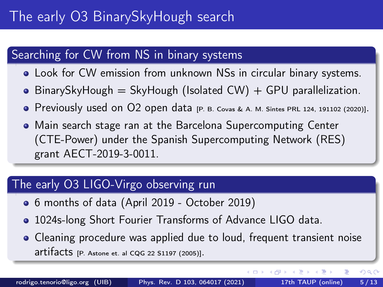## The early O3 BinarySkyHough search

### Searching for CW from NS in binary systems

- Look for CW emission from unknown NSs in circular binary systems.
- $\bullet$  BinarySkyHough = SkyHough (Isolated CW) + GPU parallelization.
- Previously used on O2 open data [\[P. B. Covas & A. M. Sintes PRL 124, 191102 \(2020\)\]](https://journals.aps.org/prl/abstract/10.1103/PhysRevLett.124.191102).
- Main search stage ran at the Barcelona Supercomputing Center (CTE-Power) under the Spanish Supercomputing Network (RES) grant AECT-2019-3-0011.

#### The early O3 LIGO-Virgo observing run

- 6 months of data (April 2019 October 2019)
- 1024s-long Short Fourier Transforms of Advance LIGO data.
- Cleaning procedure was applied due to loud, frequent transient noise artifacts [\[P. Astone et. al CQG 22 S1197 \(2005\)\]](https://iopscience.iop.org/article/10.1088/0264-9381/22/18/S34/meta).

イロト イ押 トイヨ トイヨ

 $QQ$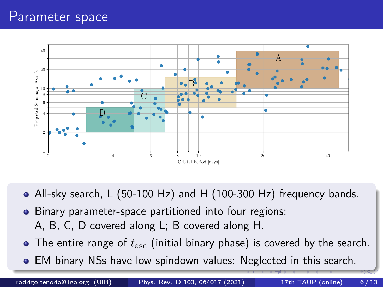### Parameter space



- All-sky search, L (50-100 Hz) and H (100-300 Hz) frequency bands.
- Binary parameter-space partitioned into four regions: A, B, C, D covered along L; B covered along H.
- The entire range of  $t_{\rm asc}$  (initial binary phase) is covered by the search.
- EM binary NSs have low spindown values: Neglected in this search.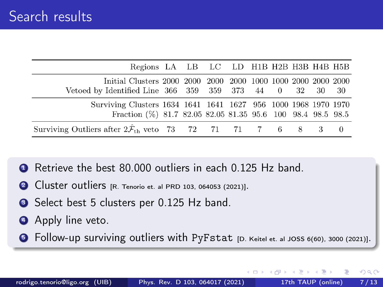| Regions LA LB LC LD H1B H2B H3B H4B H5B                                                                                       |  |  |  |  |  |
|-------------------------------------------------------------------------------------------------------------------------------|--|--|--|--|--|
| Vetoed by Identified Line 366 359 359 373 44 0 32 30 30                                                                       |  |  |  |  |  |
| Surviving Clusters 1634 1641 1641 1627 956 1000 1968 1970 1970<br>Fraction (%) 81.7 82.05 82.05 81.35 95.6 100 98.4 98.5 98.5 |  |  |  |  |  |
| Surviving Outliers after $2\ddot{\mathcal{F}}_{\text{th}}$ veto 73 72 71 71 7 6 8 3 0                                         |  |  |  |  |  |

- Retrieve the best 80,000 outliers in each 0.125 Hz band.
- <sup>2</sup> Cluster outliers [\[R. Tenorio et. al PRD 103, 064053 \(2021\)\]](https://arxiv.org/abs/2012.05752).
- Select best 5 clusters per 0.125 Hz band.
- **4** Apply line veto.
- **6** Follow-up surviving outliers with PyFstat [\[D. Keitel et. al JOSS 6\(60\), 3000 \(2021\)\]](https://arxiv.org/abs/2101.10915).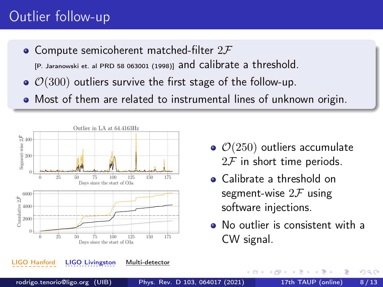## Outlier follow-up

• Compute semicoherent matched-filter  $2\mathcal{F}$ 

[\[P. Jaranowski et. al PRD 58 063001 \(1998\)\]](https://arxiv.org/abs/gr-qc/9804014) and calibrate a threshold.

- $\bullet$   $\mathcal{O}(300)$  outliers survive the first stage of the follow-up.
- Most of them are related to instrumental lines of unknown origin.



- $\bullet$   $\mathcal{O}(250)$  outliers accumulate  $2\mathcal{F}$  in short time periods.
- Calibrate a threshold on segment-wise  $2\mathcal{F}$  using software injections.

€⊡

No outlier is consistent with a CW signal.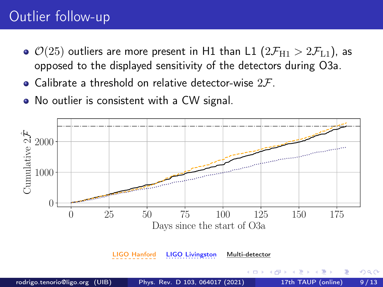## Outlier follow-up

- $\bullet$   $\mathcal{O}(25)$  outliers are more present in H1 than L1  $(2\mathcal{F}_{H1} > 2\mathcal{F}_{L1})$ , as opposed to the displayed sensitivity of the detectors during O3a.
- Calibrate a threshold on relative detector-wise  $2\mathcal{F}$ .
- No outlier is consistent with a CW signal.

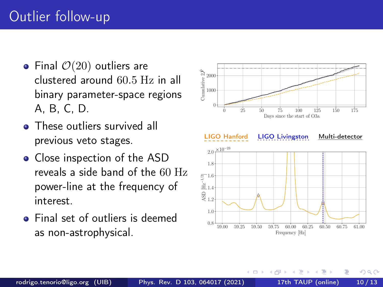- Final  $\mathcal{O}(20)$  outliers are clustered around 60.5 Hz in all binary parameter-space regions A, B, C, D.
- These outliers survived all previous veto stages.
- Close inspection of the ASD reveals a side band of the 60 Hz power-line at the frequency of interest.
- Final set of outliers is deemed



€⊡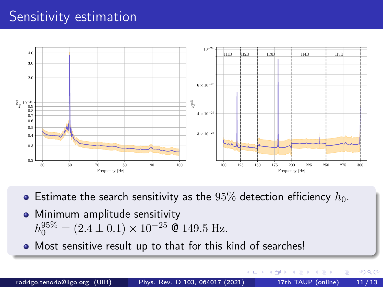### Sensitivity estimation



- **Estimate the search sensitivity as the** 95% detection efficiency  $h_0$ .
- Minimum amplitude sensitivity  $h_0^{95\%} = (2.4 \pm 0.1) \times 10^{-25}$  © 149.5 Hz.
- Most sensitive result up to that for this kind of searches!

4 **E** F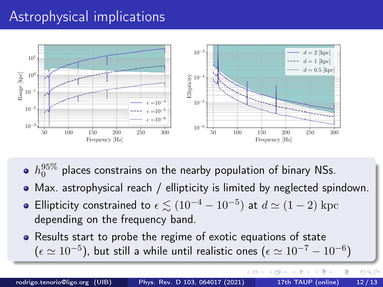## Astrophysical implications



- $h_0^{95\%}$  places constrains on the nearby population of binary NSs.
- Max. astrophysical reach / ellipticity is limited by neglected spindown.
- Ellipticity constrained to  $\epsilon \lesssim (10^{-4} 10^{-5})$  at  $d \simeq (1 2)$  kpc depending on the frequency band.
- Results start to probe the regime of exotic equations of state  $(\epsilon \simeq 10^{-5})$ , but still a while until realistic ones  $(\epsilon \simeq 10^{-7} - 10^{-6})$